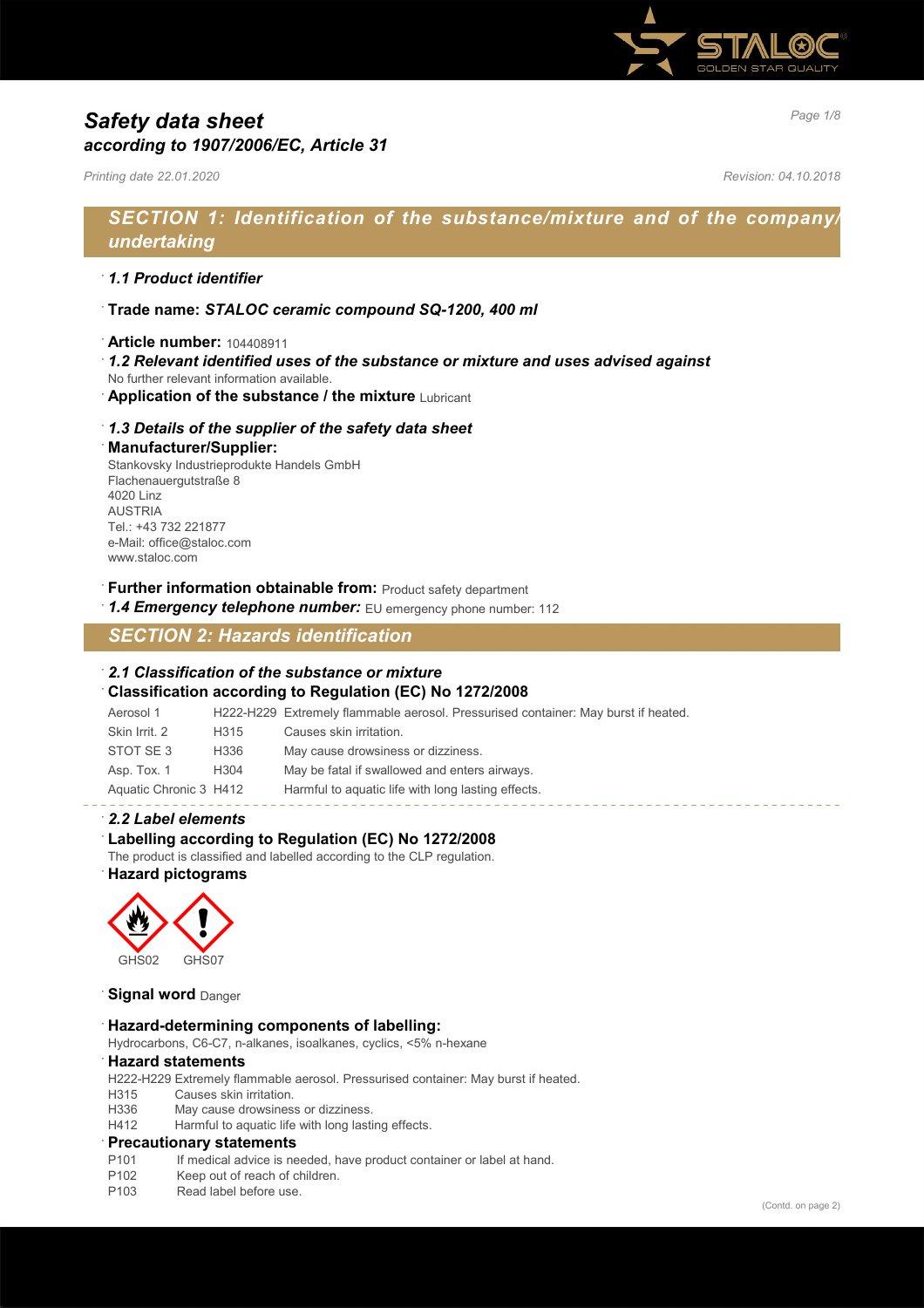

# *Page 1/8 Safety data sheet according to 1907/2006/EC, Article 31*

*Printing date 22.01.2020 Revision: 04.10.2018*

# *SECTION 1: Identification of the substance/mixture and of the company/ undertaking*

## · *1.1 Product identifier*

- · **Trade name:** *STALOC ceramic compound SQ-1200, 400 ml*
- · **Article number:** 104408911
- · *1.2 Relevant identified uses of the substance or mixture and uses advised against*
- No further relevant information available.
- **Application of the substance / the mixture Lubricant**

## · *1.3 Details of the supplier of the safety data sheet*

#### · **Manufacturer/Supplier:**

Stankovsky Industrieprodukte Handels GmbH Flachenauergutstraße 8 4020 Linz AUSTRIA Tel.: +43 732 221877 e-Mail: office@staloc.com www.staloc.com

- **Further information obtainable from:** Product safety department
- 1.4 **Emergency telephone number:** EU emergency phone number: 112

# *SECTION 2: Hazards identification*

### · *2.1 Classification of the substance or mixture*

## · **Classification according to Regulation (EC) No 1272/2008**

Aerosol 1 H222-H229 Extremely flammable aerosol. Pressurised container: May burst if heated. Skin Irrit. 2 H315 Causes skin irritation. STOT SE 3 H336 May cause drowsiness or dizziness. Asp. Tox. 1 H304 May be fatal if swallowed and enters airways. Aquatic Chronic 3 H412 Harmful to aquatic life with long lasting effects.

## · *2.2 Label elements*

## Labelling according to Regulation (EC) No 1272/2008

The product is classified and labelled according to the CLP regulation.

# · **Hazard pictograms**



## **Signal word** Danger

#### · **Hazard-determining components of labelling:**

Hydrocarbons, C6-C7, n-alkanes, isoalkanes, cyclics, <5% n-hexane

#### · **Hazard statements**

H222-H229 Extremely flammable aerosol. Pressurised container: May burst if heated.

- H315 Causes skin irritation.
- H336 May cause drowsiness or dizziness.
- H412 Harmful to aquatic life with long lasting effects.

#### · **Precautionary statements**

- P101 If medical advice is needed, have product container or label at hand.
- P102 Keep out of reach of children.
- P<sub>103</sub> Read label before use.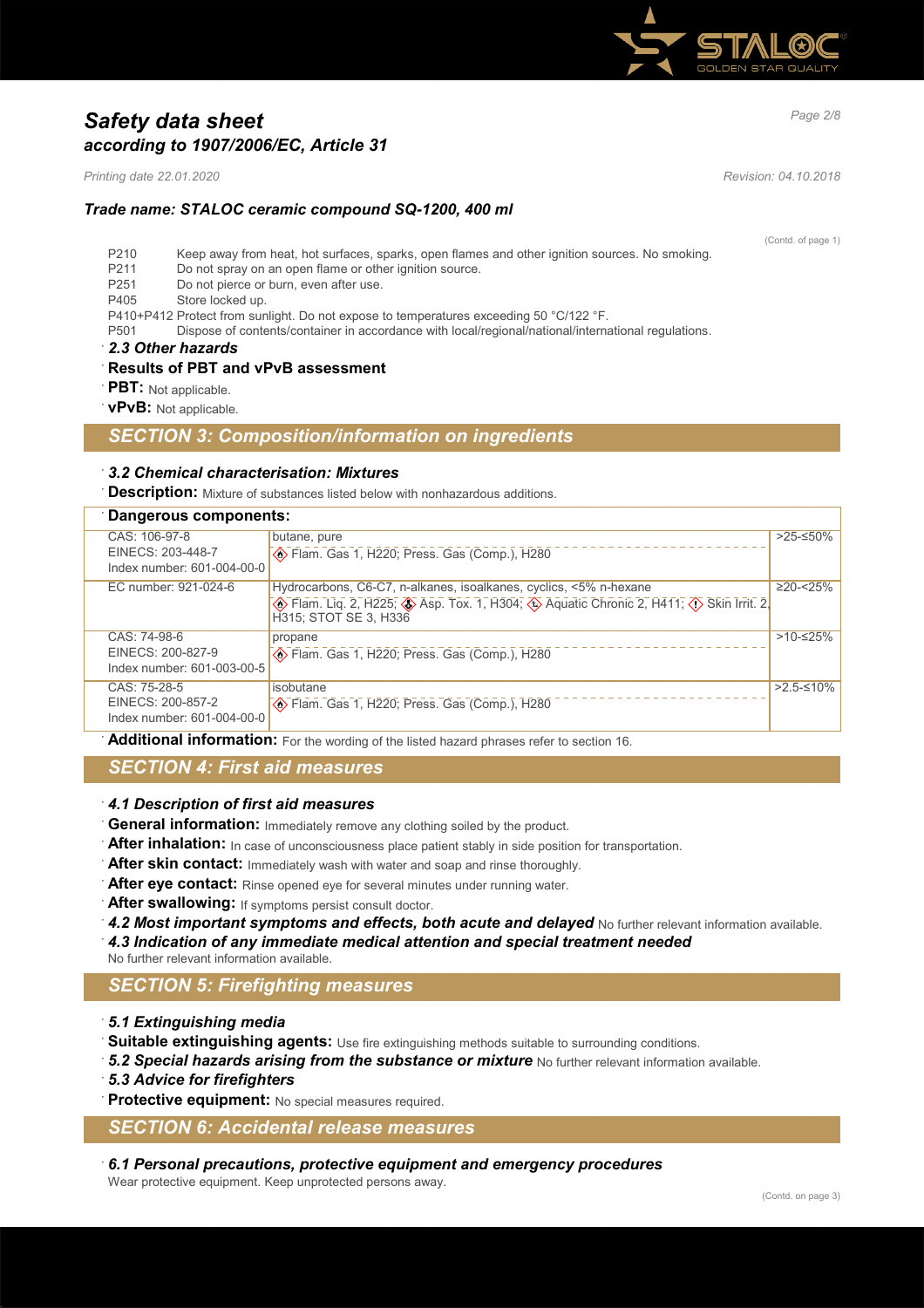

# *Page 2/8 Safety data sheet according to 1907/2006/EC, Article 31*

*Printing date 22.01.2020 Revision: 04.10.2018*

## *Trade name: STALOC ceramic compound SQ-1200, 400 ml*

(Contd. of page 1)

- P210 Keep away from heat, hot surfaces, sparks, open flames and other ignition sources. No smoking.
- P211 Do not spray on an open flame or other ignition source.<br>P251 Do not pierce or burn, even after use.
- Do not pierce or burn, even after use.
- P405 Store locked up.
- P410+P412 Protect from sunlight. Do not expose to temperatures exceeding 50 °C/122 °F.
- P501 Dispose of contents/container in accordance with local/regional/national/international regulations.
- · *2.3 Other hazards*

## · **Results of PBT and vPvB assessment**

- **PBT:** Not applicable.
- · **vPvB:** Not applicable.

# *SECTION 3: Composition/information on ingredients*

## · *3.2 Chemical characterisation: Mixtures*

**Description:** Mixture of substances listed below with nonhazardous additions.

| Dangerous components:              |                                                                   |                |  |
|------------------------------------|-------------------------------------------------------------------|----------------|--|
| CAS: 106-97-8<br>EINECS: 203-448-7 | butane, pure                                                      | $>25-50\%$     |  |
| Index number: 601-004-00-0         |                                                                   |                |  |
| EC number: 921-024-6               | Hydrocarbons, C6-C7, n-alkanes, isoalkanes, cyclics, <5% n-hexane | $\geq$ 20-<25% |  |
|                                    | H315; STOT SE 3, H336                                             |                |  |
| CAS: 74-98-6                       | propane                                                           | $>10-525%$     |  |
| EINECS: 200-827-9                  | Blam. Gas 1, H220; Press. Gas (Comp.), H280                       |                |  |
| Index number: 601-003-00-5         |                                                                   |                |  |
| CAS: 75-28-5                       | isobutane                                                         | $>2.5-10\%$    |  |
| EINECS: 200-857-2                  | Stram. Gas 1, H220; Press. Gas (Comp.), H280                      |                |  |
| Index number: 601-004-00-0         |                                                                   |                |  |

**Additional information:** For the wording of the listed hazard phrases refer to section 16.

# *SECTION 4: First aid measures*

## · *4.1 Description of first aid measures*

- General information: Immediately remove any clothing soiled by the product.
- After inhalation: In case of unconsciousness place patient stably in side position for transportation.
- After skin contact: Immediately wash with water and soap and rinse thoroughly.
- After eye contact: Rinse opened eye for several minutes under running water.
- After swallowing: If symptoms persist consult doctor.
- 4.2 Most important symptoms and effects, both acute and delayed No further relevant information available.
- · *4.3 Indication of any immediate medical attention and special treatment needed*

No further relevant information available.

# *SECTION 5: Firefighting measures*

- · *5.1 Extinguishing media*
- Suitable extinguishing agents: Use fire extinguishing methods suitable to surrounding conditions.
- 5.2 Special hazards arising from the substance or mixture No further relevant information available.
- · *5.3 Advice for firefighters*
- Protective equipment: No special measures required.

# *SECTION 6: Accidental release measures*

· *6.1 Personal precautions, protective equipment and emergency procedures* Wear protective equipment. Keep unprotected persons away.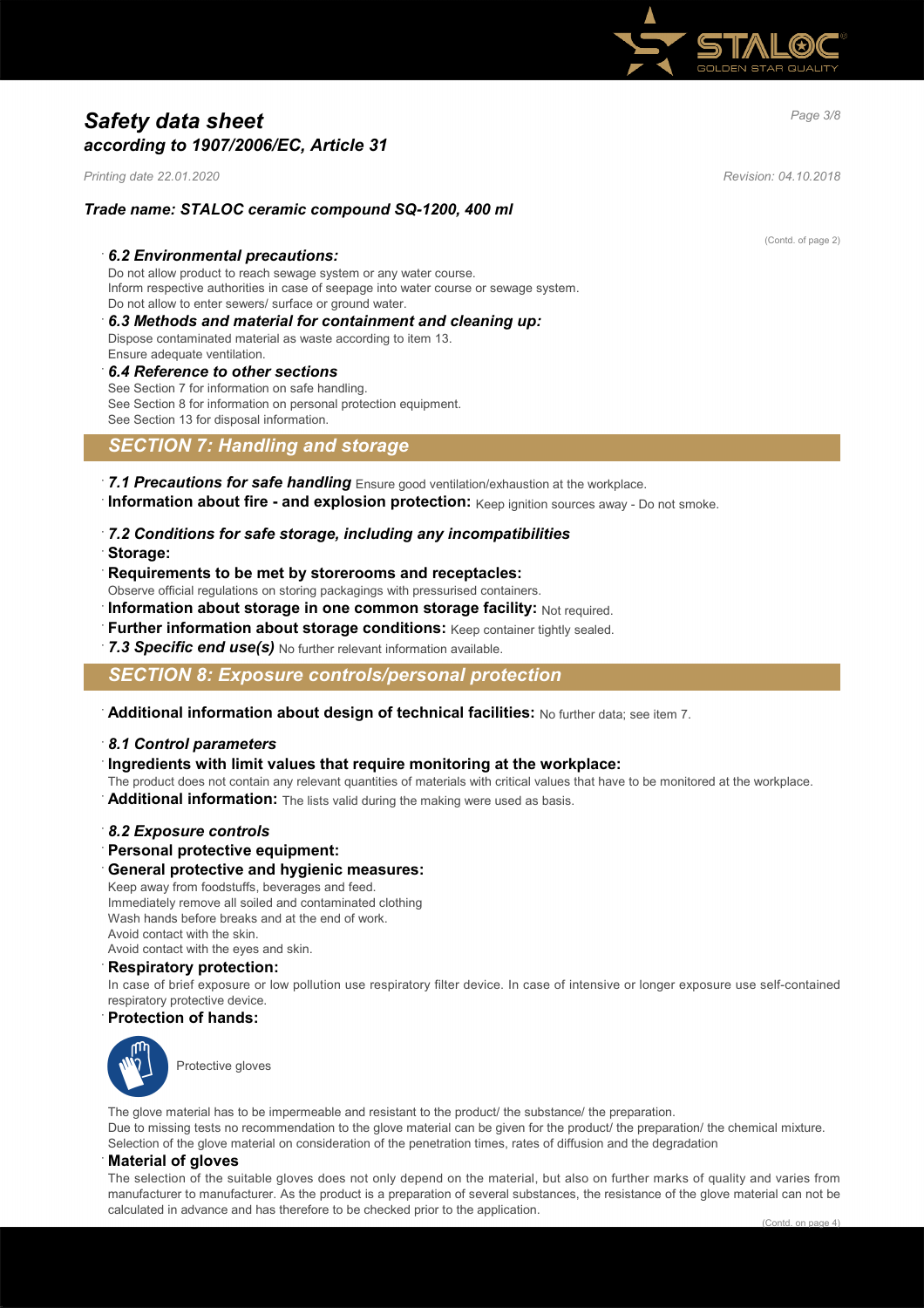

# *Page 3/8 Safety data sheet according to 1907/2006/EC, Article 31*

*Printing date 22.01.2020 Revision: 04.10.2018*

## *Trade name: STALOC ceramic compound SQ-1200, 400 ml*

### · *6.2 Environmental precautions:*

Do not allow product to reach sewage system or any water course. Inform respective authorities in case of seepage into water course or sewage system. Do not allow to enter sewers/ surface or ground water.

- · *6.3 Methods and material for containment and cleaning up:*
- Dispose contaminated material as waste according to item 13.
- Ensure adequate ventilation.

# · *6.4 Reference to other sections*

See Section 7 for information on safe handling. See Section 8 for information on personal protection equipment. See Section 13 for disposal information.

# *SECTION 7: Handling and storage*

- · *7.1 Precautions for safe handling* Ensure good ventilation/exhaustion at the workplace.
- · **Information about fire and explosion protection:** Keep ignition sources away Do not smoke.
- · *7.2 Conditions for safe storage, including any incompatibilities*
- · **Storage:**
- · **Requirements to be met by storerooms and receptacles:**
- Observe official regulations on storing packagings with pressurised containers.
- **Information about storage in one common storage facility: Not required.**
- **Further information about storage conditions:** Keep container tightly sealed.
- 7.3 Specific end use(s) No further relevant information available.

# *SECTION 8: Exposure controls/personal protection*

· **Additional information about design of technical facilities:** No further data; see item 7.

#### · *8.1 Control parameters*

## · **Ingredients with limit values that require monitoring at the workplace:**

- The product does not contain any relevant quantities of materials with critical values that have to be monitored at the workplace.
- Additional information: The lists valid during the making were used as basis.

#### · *8.2 Exposure controls*

- · **Personal protective equipment:**
- · **General protective and hygienic measures:**

Keep away from foodstuffs, beverages and feed. Immediately remove all soiled and contaminated clothing Wash hands before breaks and at the end of work. Avoid contact with the skin. Avoid contact with the eyes and skin.

### · **Respiratory protection:**

In case of brief exposure or low pollution use respiratory filter device. In case of intensive or longer exposure use self-contained respiratory protective device.

#### · **Protection of hands:**



Protective gloves

The glove material has to be impermeable and resistant to the product/ the substance/ the preparation. Due to missing tests no recommendation to the glove material can be given for the product/ the preparation/ the chemical mixture. Selection of the glove material on consideration of the penetration times, rates of diffusion and the degradation

## · **Material of gloves**

The selection of the suitable gloves does not only depend on the material, but also on further marks of quality and varies from manufacturer to manufacturer. As the product is a preparation of several substances, the resistance of the glove material can not be calculated in advance and has therefore to be checked prior to the application.

(Contd. of page 2)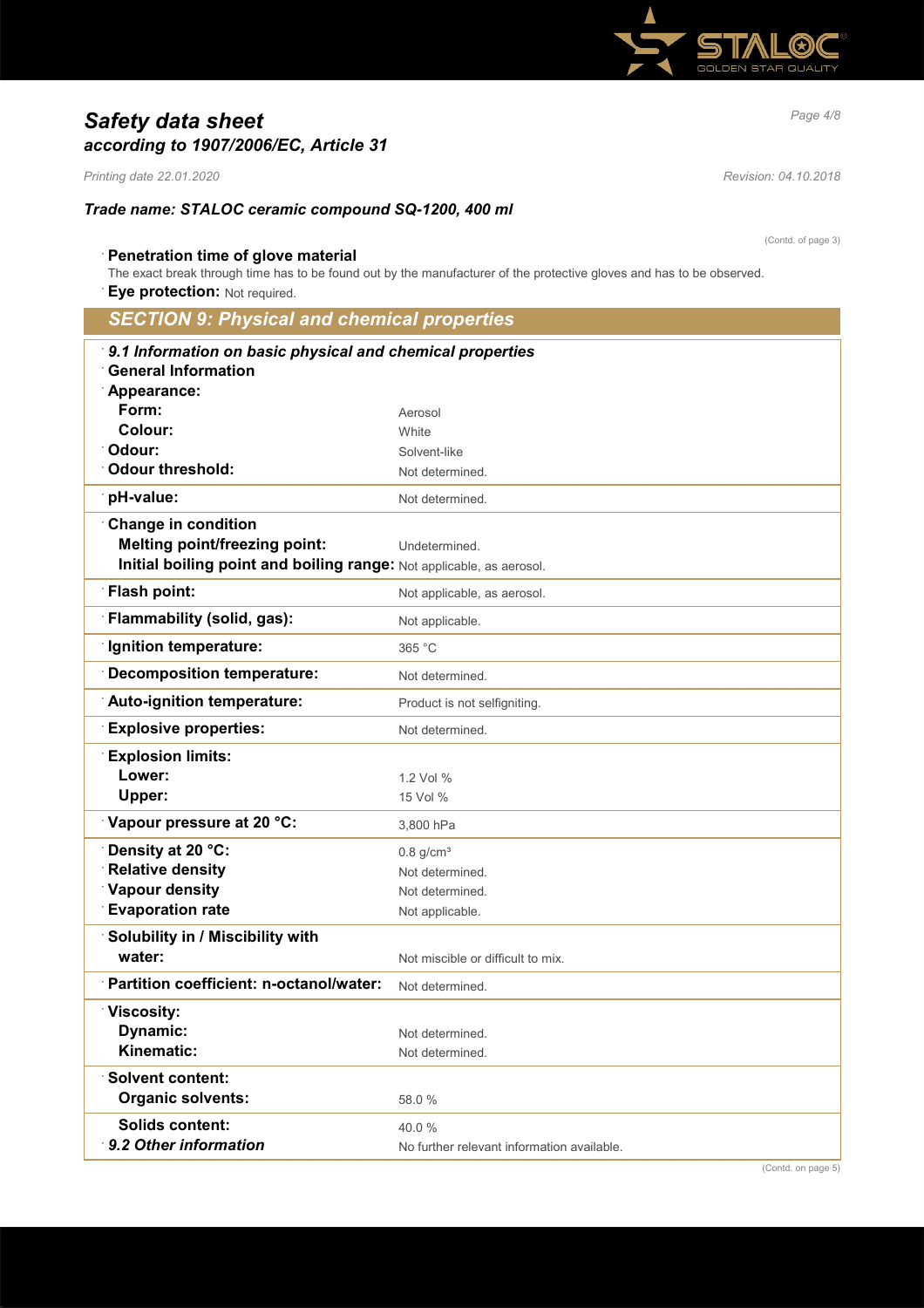

# *Page 4/8 Safety data sheet according to 1907/2006/EC, Article 31*

*Printing date 22.01.2020 Revision: 04.10.2018*

## *Trade name: STALOC ceramic compound SQ-1200, 400 ml*

· **Penetration time of glove material** The exact break through time has to be found out by the manufacturer of the protective gloves and has to be observed.

**Eye protection: Not required.** 

# *SECTION 9: Physical and chemical properties* · *9.1 Information on basic physical and chemical properties* · **General Information** · **Appearance: Form:** Aerosol **Colour:** White <sup>2</sup> Odour: Solvent-like **Odour threshold:** Not determined. **pH-value:** Not determined · **Change in condition Melting point/freezing point:** Undetermined. **Initial boiling point and boiling range: Not applicable, as aerosol. Flash point:** Not applicable, as aerosol. **Flammability (solid, gas):** Not applicable. **ignition temperature:** 365 °C **Decomposition temperature:** Not determined. Auto-ignition temperature: Product is not selfigniting. **Explosive properties:** Not determined. · **Explosion limits: Lower:** 1.2 Vol % **Upper:** 15 Vol % **Vapour pressure at 20 °C:** 3,800 hPa **Density at 20 °C:** 0.8 g/cm<sup>3</sup> **Relative density Not determined.** Not determined. **Vapour density** Not determined. **Evaporation rate** Not applicable. · **Solubility in / Miscibility with water:**  $\blacksquare$  Not miscible or difficult to mix. · **Partition coefficient: n-octanol/water:** Not determined. · **Viscosity: Dynamic:** Not determined. **Kinematic:** Not determined. · **Solvent content: Organic solvents:** 58.0 % **Solids content:** 40.0 % **9.2 Other information** No further relevant information available.

(Contd. of page 3)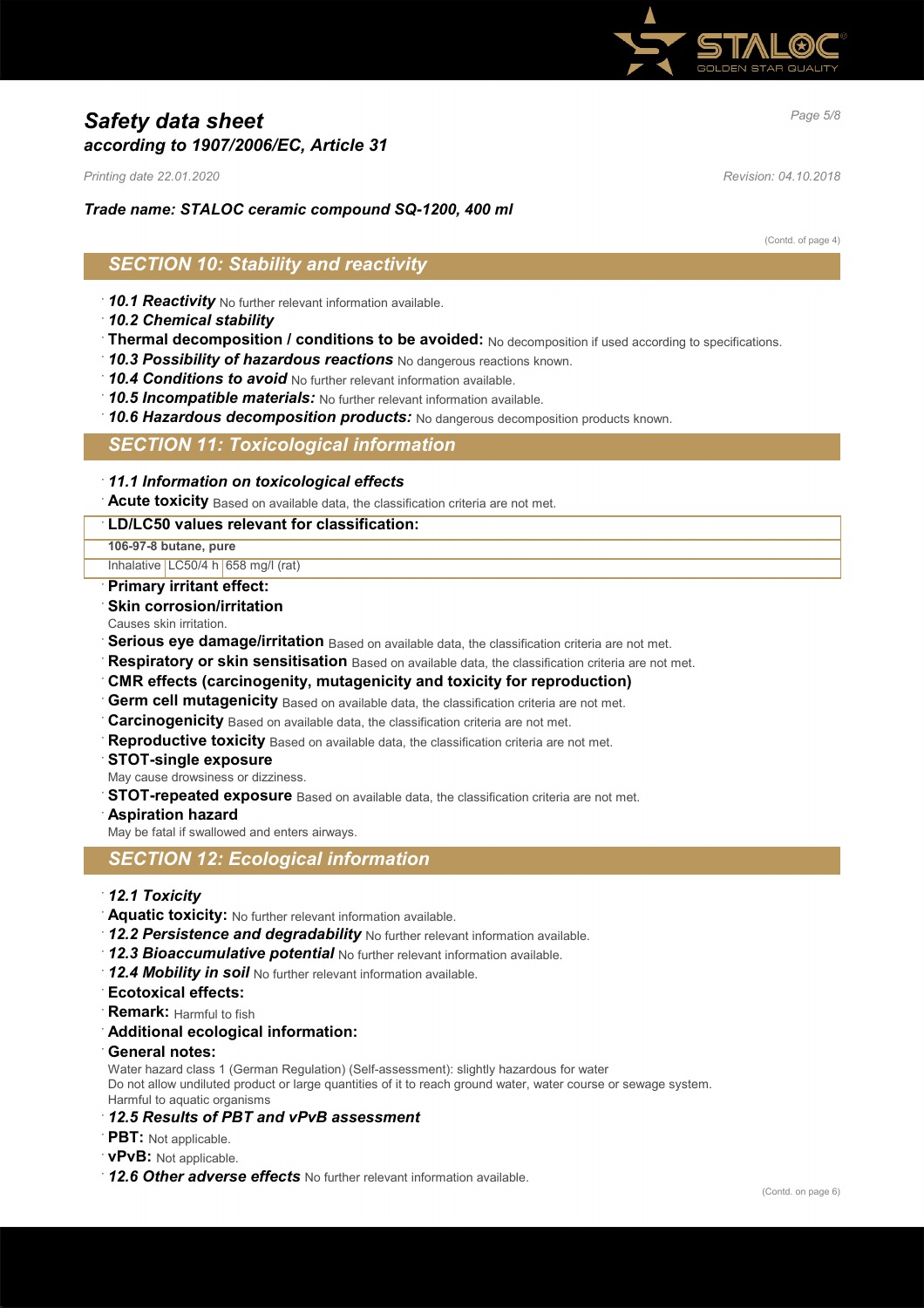

# *Page 5/8 Safety data sheet according to 1907/2006/EC, Article 31*

*Printing date 22.01.2020 Revision: 04.10.2018*

## *Trade name: STALOC ceramic compound SQ-1200, 400 ml*

(Contd. of page 4)

# *SECTION 10: Stability and reactivity*

- · *10.1 Reactivity* No further relevant information available.
- · *10.2 Chemical stability*
- · **Thermal decomposition / conditions to be avoided:** No decomposition if used according to specifications.
- · *10.3 Possibility of hazardous reactions* No dangerous reactions known.
- · *10.4 Conditions to avoid* No further relevant information available.
- · *10.5 Incompatible materials:* No further relevant information available.
- · *10.6 Hazardous decomposition products:* No dangerous decomposition products known.

## *SECTION 11: Toxicological information*

### · *11.1 Information on toxicological effects*

· **Acute toxicity** Based on available data, the classification criteria are not met.

### · **LD/LC50 values relevant for classification:**

**106-97-8 butane, pure**

Inhalative LC50/4 h 658 mg/l (rat)

#### · **Primary irritant effect:**

- **Skin corrosion/irritation**
- Causes skin irritation.
- **Serious eye damage/irritation** Based on available data, the classification criteria are not met.
- **Respiratory or skin sensitisation** Based on available data, the classification criteria are not met.
- · **CMR effects (carcinogenity, mutagenicity and toxicity for reproduction)**
- **Germ cell mutagenicity** Based on available data, the classification criteria are not met.
- · **Carcinogenicity** Based on available data, the classification criteria are not met.
- **Reproductive toxicity** Based on available data, the classification criteria are not met.
- · **STOT-single exposure**

May cause drowsiness or dizziness.

- **STOT-repeated exposure** Based on available data, the classification criteria are not met.
- · **Aspiration hazard**

May be fatal if swallowed and enters airways.

## *SECTION 12: Ecological information*

## · *12.1 Toxicity*

- · **Aquatic toxicity:** No further relevant information available.
- · *12.2 Persistence and degradability* No further relevant information available.
- · *12.3 Bioaccumulative potential* No further relevant information available.
- · *12.4 Mobility in soil* No further relevant information available.
- · **Ecotoxical effects:**
- **Remark:** Harmful to fish

#### · **Additional ecological information:**

· **General notes:**

Water hazard class 1 (German Regulation) (Self-assessment): slightly hazardous for water

Do not allow undiluted product or large quantities of it to reach ground water, water course or sewage system.

Harmful to aquatic organisms

# · *12.5 Results of PBT and vPvB assessment*

- · **PBT:** Not applicable.
- · **vPvB:** Not applicable.
- · *12.6 Other adverse effects* No further relevant information available.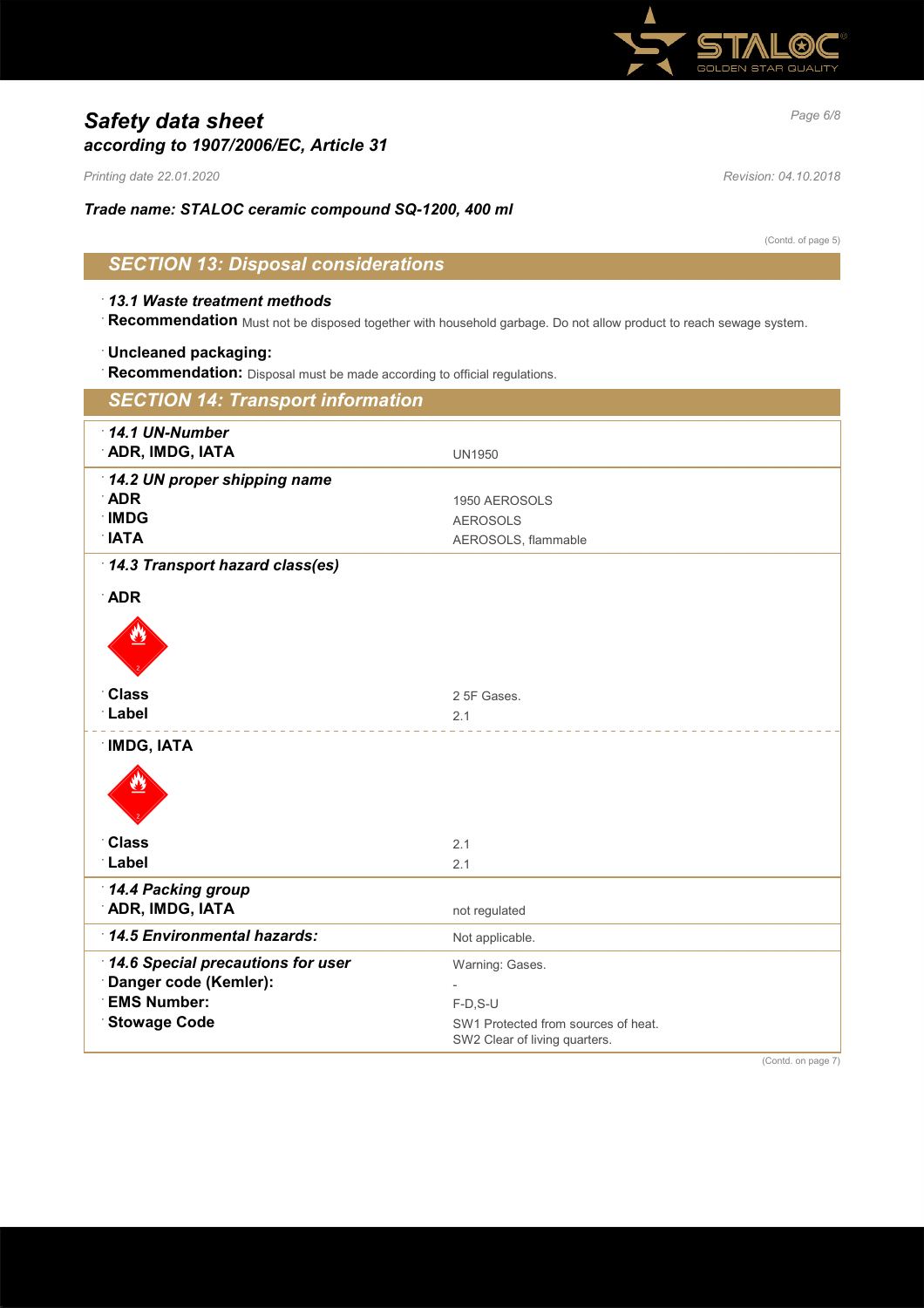

# *Page 6/8 Safety data sheet according to 1907/2006/EC, Article 31*

*Printing date 22.01.2020 Revision: 04.10.2018*

*Trade name: STALOC ceramic compound SQ-1200, 400 ml*

(Contd. of page 5)

# *SECTION 13: Disposal considerations*

### · *13.1 Waste treatment methods*

· **Recommendation** Must not be disposed together with household garbage. Do not allow product to reach sewage system.

#### · **Uncleaned packaging:**

· **Recommendation:** Disposal must be made according to official regulations.

| <b>SECTION 14: Transport information</b>                                                                |                                                                                                       |  |
|---------------------------------------------------------------------------------------------------------|-------------------------------------------------------------------------------------------------------|--|
| 14.1 UN-Number<br><b>ADR, IMDG, IATA</b>                                                                | <b>UN1950</b>                                                                                         |  |
| 14.2 UN proper shipping name<br><b>ADR</b><br><b>IMDG</b><br><b>NTAL</b>                                | 1950 AEROSOLS<br><b>AEROSOLS</b><br>AEROSOLS, flammable                                               |  |
| 14.3 Transport hazard class(es)<br><b>ADR</b><br><b>Class</b><br>Label                                  | 2 5F Gases.<br>2.1                                                                                    |  |
| <b>IMDG, IATA</b><br><b>Class</b><br>Label                                                              | 2.1<br>2.1                                                                                            |  |
| 14.4 Packing group<br><b>ADR, IMDG, IATA</b>                                                            | not regulated                                                                                         |  |
| 14.5 Environmental hazards:                                                                             | Not applicable.                                                                                       |  |
| 14.6 Special precautions for user<br>Danger code (Kemler):<br><b>EMS Number:</b><br><b>Stowage Code</b> | Warning: Gases.<br>$F-D, S-U$<br>SW1 Protected from sources of heat.<br>SW2 Clear of living quarters. |  |

(Contd. on page 7)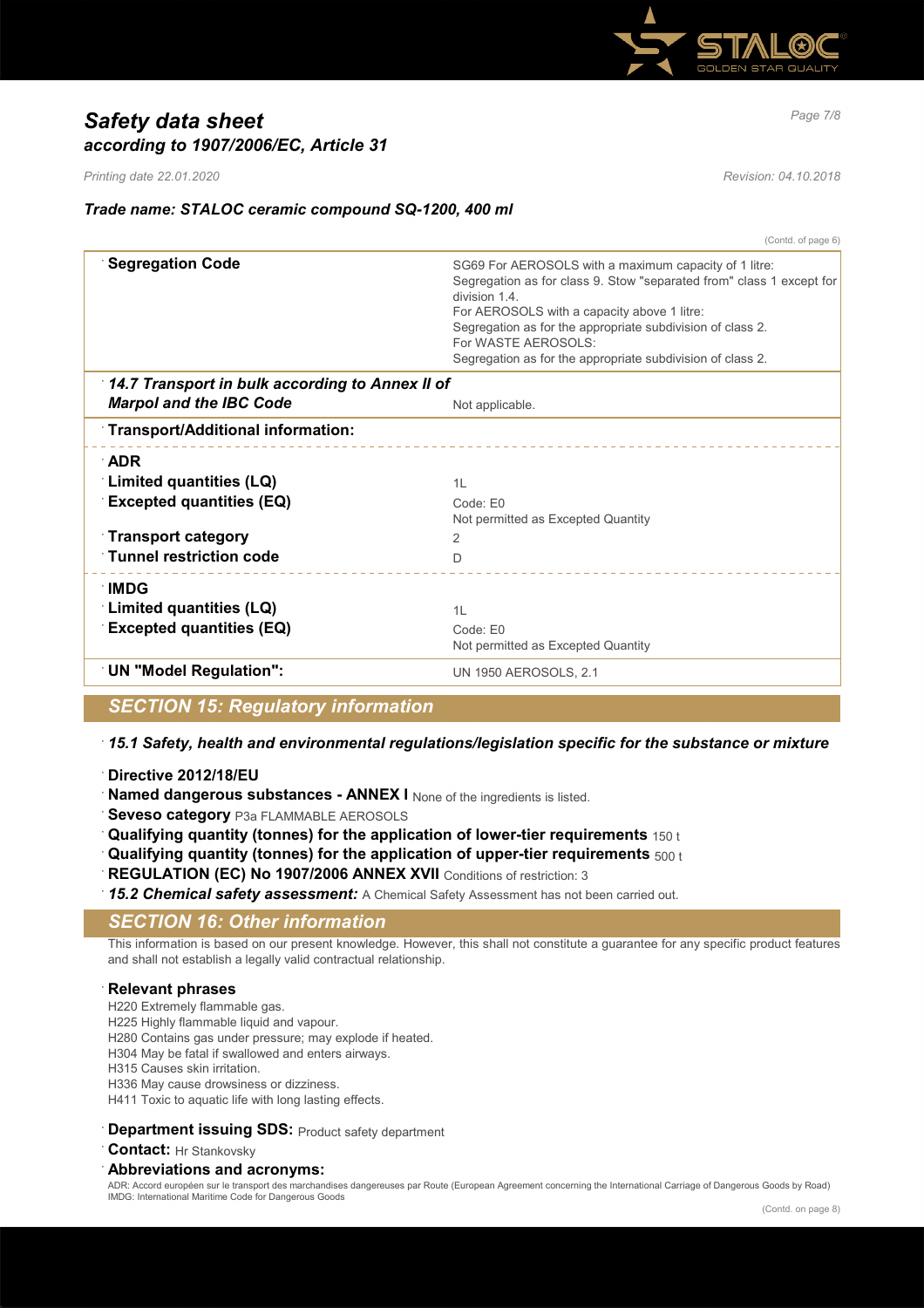

# *Page 7/8 Safety data sheet according to 1907/2006/EC, Article 31*

*Printing date 22.01.2020 Revision: 04.10.2018*

# *Trade name: STALOC ceramic compound SQ-1200, 400 ml*

(Contd. of page 6) **Segregation Code SG69 For AEROSOLS with a maximum capacity of 1 litre:** Segregation as for class 9. Stow "separated from" class 1 except for division 1.4. For AEROSOLS with a capacity above 1 litre: Segregation as for the appropriate subdivision of class 2. For WASTE AEROSOLS: Segregation as for the appropriate subdivision of class 2. · *14.7 Transport in bulk according to Annex II of Marpol and the IBC Code* Not applicable. · **Transport/Additional information:** · **ADR Example 2 Indianally 2 Inches (LQ)** 1 **Limited quantities (LQ)** 1L **Excepted quantities (EQ)** Code: E0 Not permitted as Excepted Quantity · **Transport category** 2 · **Tunnel restriction code** D · **IMDG Example 2 Indianally 2 Inches (LQ)** 1 **C** 1 **Inches** 1 **C** 1 **Excepted quantities (EQ)** Code: E0 Not permitted as Excepted Quantity **UN "Model Regulation":** UN 1950 AEROSOLS, 2.1

*SECTION 15: Regulatory information*

· *15.1 Safety, health and environmental regulations/legislation specific for the substance or mixture*

- · **Directive 2012/18/EU**
- **Named dangerous substances ANNEX I** None of the ingredients is listed.
- **Seveso category** P3a FLAMMABLE AEROSOLS
- · **Qualifying quantity (tonnes) for the application of lower-tier requirements** 150 t
- · **Qualifying quantity (tonnes) for the application of upper-tier requirements** 500 t
- **REGULATION (EC) No 1907/2006 ANNEX XVII** Conditions of restriction: 3
- 15.2 Chemical safety assessment: A Chemical Safety Assessment has not been carried out.

## *SECTION 16: Other information*

This information is based on our present knowledge. However, this shall not constitute a guarantee for any specific product features and shall not establish a legally valid contractual relationship.

## · **Relevant phrases**

- H220 Extremely flammable gas.
- H225 Highly flammable liquid and vapour.
- H280 Contains gas under pressure; may explode if heated.
- H304 May be fatal if swallowed and enters airways.
- H315 Causes skin irritation.
- H336 May cause drowsiness or dizziness. H411 Toxic to aquatic life with long lasting effects.
- 
- **Department issuing SDS: Product safety department**
- · **Contact:** Hr Stankovsky

#### · **Abbreviations and acronyms:**

ADR: Accord européen sur le transport des marchandises dangereuses par Route (European Agreement concerning the International Carriage of Dangerous Goods by Road) IMDG: International Maritime Code for Dangerous Goods